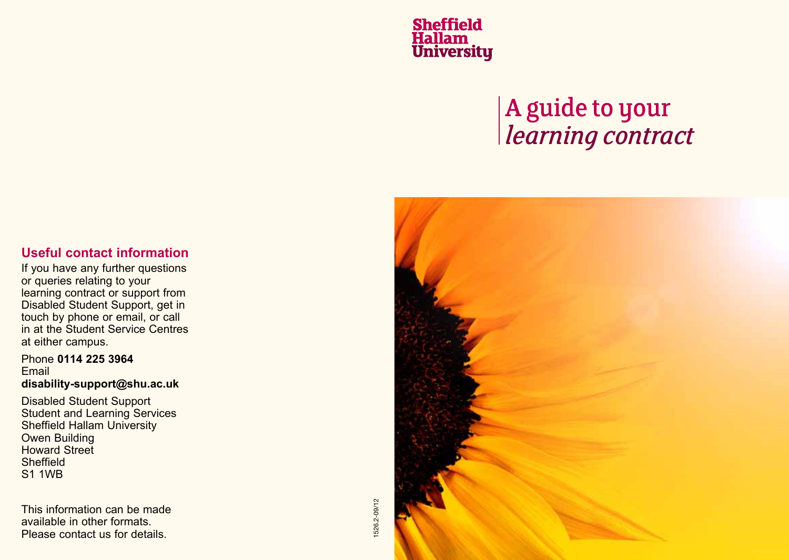**Sheffield<br>Hallam<br>University** 

# A guide to your *learning contract*

## **Useful contact information**

If you have any further questions or queries relating to your learning contract or support from Disabled Student Support, get in touch by phone or email, or call in at the Student Service Centres at either campus.

#### Phone **0114 225 3964** Email **disability-support@shu.ac.uk**

Disabled Student Support Student and Learning Services Sheffield Hallam University Owen Building Howard Street **Sheffield** S1 1WB

This information can be made available in other formats. Please contact us for details.

1526.2-09/12 1526.2-09/12